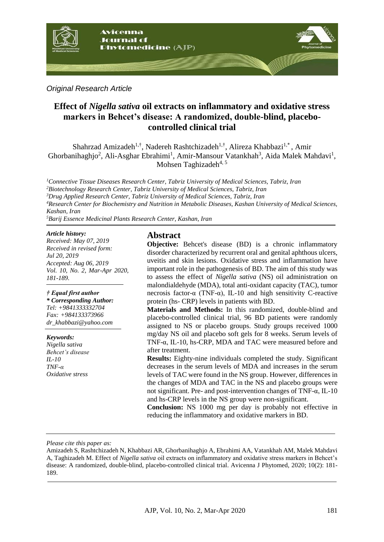

*Original Research Article*

# **Effect of** *Nigella sativa* **oil extracts on inflammatory and oxidative stress markers in Behcet's disease: A randomized, double-blind, placebocontrolled clinical trial**

Shahrzad Amizadeh<sup>1,†</sup>, Nadereh Rashtchizadeh<sup>1,†</sup>, Alireza Khabbazi<sup>1,\*</sup>, Amir Ghorbanihaghjo<sup>2</sup>, Ali-Asghar Ebrahimi<sup>1</sup>, Amir-Mansour Vatankhah<sup>3</sup>, Aida Malek Mahdavi<sup>1</sup>, Mohsen Taghizadeh<sup>4, 5</sup>

*Connective Tissue Diseases Research Center, Tabriz University of Medical Sciences, Tabriz, Iran Biotechnology Research Center, Tabriz University of Medical Sciences, Tabriz, Iran Drug Applied Research Center, Tabriz University of Medical Sciences, Tabriz, Iran Research Center for Biochemistry and Nutrition in Metabolic Diseases, Kashan University of Medical Sciences, Kashan, Iran*

*<sup>5</sup>Barij Essence Medicinal Plants Research Center, Kashan, Iran*

#### *Article history:*

*Received: May 07, 2019 Received in revised form: Jul 20, 2019 Accepted: Aug 06, 2019 Vol. 10, No. 2, Mar-Apr 2020, 181-189.*

#### *† Equal first author*

*\* Corresponding Author: Tel: +9841333332704 Fax: +984133373966 dr\_khabbazi@yahoo.com* 

#### *Keywords:*

*Nigella sativa Behcet's disease IL-10 TNF-α Oxidative stress*

### **Abstract**

**Objective:** Behcet's disease (BD) is a chronic inflammatory disorder characterized by recurrent oral and genital aphthous ulcers, uveitis and skin lesions. Oxidative stress and inflammation have important role in the pathogenesis of BD. The aim of this study was to assess the effect of *Nigella sativa* (NS) oil administration on malondialdehyde (MDA), total anti-oxidant capacity (TAC), tumor necrosis factor-α (TNF-α), IL-10 and high sensitivity C-reactive protein (hs- CRP) levels in patients with BD.

**Materials and Methods:** In this randomized, double-blind and placebo-controlled clinical trial, 96 BD patients were randomly assigned to NS or placebo groups. Study groups received 1000 mg/day NS oil and placebo soft gels for 8 weeks. Serum levels of TNF-α, IL-10, hs-CRP, MDA and TAC were measured before and after treatment.

**Results:** Eighty-nine individuals completed the study. Significant decreases in the serum levels of MDA and increases in the serum levels of TAC were found in the NS group. However, differences in the changes of MDA and TAC in the NS and placebo groups were not significant. Pre- and post-intervention changes of TNF-α, IL-10 and hs-CRP levels in the NS group were non-significant.

**Conclusion:** NS 1000 mg per day is probably not effective in reducing the inflammatory and oxidative markers in BD.

*Please cite this paper as:* 

Amizadeh S, Rashtchizadeh N, Khabbazi AR, Ghorbanihaghjo A, Ebrahimi AA, Vatankhah AM, Malek Mahdavi A, Taghizadeh M. Effect of *Nigella sativa* oil extracts on inflammatory and oxidative stress markers in Behcet's disease: A randomized, double-blind, placebo-controlled clinical trial. Avicenna J Phytomed, 2020; 10(2): 181- 189.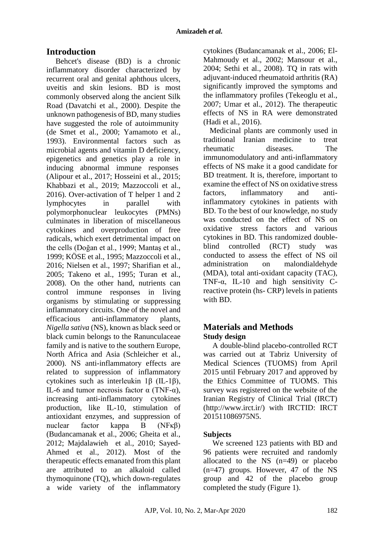# **Introduction**

Behcet's disease (BD) is a chronic inflammatory disorder characterized by recurrent oral and genital aphthous ulcers, uveitis and skin lesions. BD is most commonly observed along the ancient Silk Road (Davatchi et al., 2000). Despite the unknown pathogenesis of BD, many studies have suggested the role of autoimmunity (de Smet et al., 2000; Yamamoto et al., 1993). Environmental factors such as microbial agents and vitamin D deficiency, epigenetics and genetics play a role in inducing abnormal immune responses (Alipour et al., 2017; Hosseini et al., 2015; Khabbazi et al., 2019; Mazzoccoli et al., 2016). Over-activation of T helper 1 and 2 lymphocytes in parallel with polymorphonuclear leukocytes (PMNs) culminates in liberation of miscellaneous cytokines and overproduction of free radicals, which exert detrimental impact on the cells (Doğan et al., 1999; Mantaş et al., 1999; KÖSE et al., 1995; Mazzoccoli et al., 2016; Nielsen et al., 1997; Sharifian et al., 2005; Takeno et al., 1995; Turan et al., 2008). On the other hand, nutrients can control immune responses in living organisms by stimulating or suppressing inflammatory circuits. One of the novel and efficacious anti-inflammatory plants, *Nigella sativa* (NS), known as black seed or black cumin belongs to the Ranunculaceae family and is native to the southern Europe, North Africa and Asia (Schleicher et al., 2000). NS anti-inflammatory effects are related to suppression of inflammatory cytokines such as interleukin 1β (IL-1β), IL-6 and tumor necrosis factor  $α$  (TNF- $α$ ), increasing anti-inflammatory cytokines production, like IL-10, stimulation of antioxidant enzymes, and suppression of nuclear factor kappa B (NFκβ) (Budancamanak et al., 2006; Gheita et al., 2012; Majdalawieh et al., 2010; Sayed-Ahmed et al., 2012). Most of the therapeutic effects emanated from this plant are attributed to an alkaloid called thymoquinone (TQ), which down-regulates a wide variety of the inflammatory cytokines (Budancamanak et al., 2006; El-Mahmoudy et al., 2002; Mansour et al., 2004; Sethi et al., 2008). TQ in rats with adjuvant-induced rheumatoid arthritis (RA) significantly improved the symptoms and the inflammatory profiles (Tekeoglu et al., 2007; Umar et al., 2012). The therapeutic effects of NS in RA were demonstrated (Hadi et al., 2016).

Medicinal plants are commonly used in traditional Iranian medicine to treat rheumatic diseases. The immunomodulatory and anti-inflammatory effects of NS make it a good candidate for BD treatment. It is, therefore, important to examine the effect of NS on oxidative stress factors, inflammatory and antiinflammatory cytokines in patients with BD. To the best of our knowledge, no study was conducted on the effect of NS on oxidative stress factors and various cytokines in BD. This randomized doubleblind controlled (RCT) study was conducted to assess the effect of NS oil administration on malondialdehyde (MDA), total anti-oxidant capacity (TAC), TNF- $\alpha$ , IL-10 and high sensitivity Creactive protein (hs- CRP) levels in patients with BD.

## **Materials and Methods Study design**

A double-blind placebo-controlled RCT was carried out at Tabriz University of Medical Sciences (TUOMS) from April 2015 until February 2017 and approved by the Ethics Committee of TUOMS. This survey was registered on the website of the Iranian Registry of Clinical Trial (IRCT) (http://www.irct.ir/) with IRCTID: IRCT 201511086975N5.

## **Subjects**

We screened 123 patients with BD and 96 patients were recruited and randomly allocated to the NS (n=49) or placebo (n=47) groups. However, 47 of the NS group and 42 of the placebo group completed the study (Figure 1).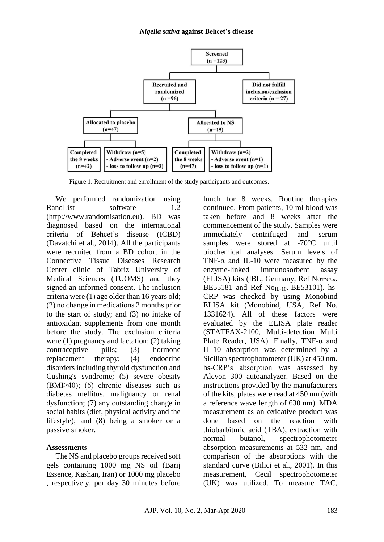

Figure 1. Recruitment and enrollment of the study participants and outcomes.

We performed randomization using RandList software 1.2 (http://www.randomisation.eu). BD was diagnosed based on the international criteria of Behcet's disease (ICBD) (Davatchi et al., 2014). All the participants were recruited from a BD cohort in the Connective Tissue Diseases Research Center clinic of Tabriz University of Medical Sciences (TUOMS) and they signed an informed consent. The inclusion criteria were (1) age older than 16 years old; (2) no change in medications 2 months prior to the start of study; and (3) no intake of antioxidant supplements from one month before the study. The exclusion criteria were (1) pregnancy and lactation; (2) taking contraceptive pills; (3) hormone replacement therapy; (4) endocrine disorders including thyroid dysfunction and Cushing's syndrome; (5) severe obesity  $(BMI\geq 40)$ ; (6) chronic diseases such as diabetes mellitus, malignancy or renal dysfunction; (7) any outstanding change in social habits (diet, physical activity and the lifestyle); and (8) being a smoker or a passive smoker.

### **Assessments**

The NS and placebo groups received soft gels containing 1000 mg NS oil (Barij Essence, Kashan, Iran) or 1000 mg placebo , respectively, per day 30 minutes before lunch for 8 weeks. Routine therapies continued. From patients, 10 ml blood was taken before and 8 weeks after the commencement of the study. Samples were immediately centrifuged and serum samples were stored at -70°C until biochemical analyses. Serum levels of TNF- $\alpha$  and IL-10 were measured by the enzyme-linked immunosorbent assay (ELISA) kits (IBL, Germany, Ref No<sub>TNF-α</sub>. BE55181 and Ref No<sub>IL-10</sub>. BE53101). hs-CRP was checked by using Monobind ELISA kit (Monobind, USA, Ref No. 1331624). All of these factors were evaluated by the ELISA plate reader (STATFAX-2100, Multi-detection Multi Plate Reader, USA). Finally, TNF- $\alpha$  and IL-10 absorption was determined by a Sicilian spectrophotometer (UK) at 450 nm. hs-CRP's absorption was assessed by Alcyon 300 autoanalyzer. Based on the instructions provided by the manufacturers of the kits, plates were read at 450 nm (with a reference wave length of 630 nm). MDA measurement as an oxidative product was done based on the reaction with thiobarbituric acid (TBA), extraction with normal butanol, spectrophotometer absorption measurements at 532 nm, and comparison of the absorptions with the standard curve (Bilici et al., 2001). In this measurement, Cecil spectrophotometer (UK) was utilized. To measure TAC,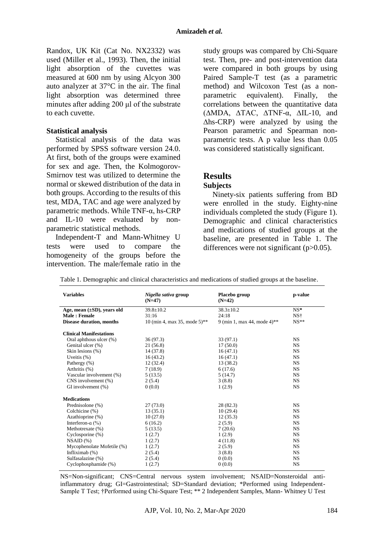Randox, UK Kit (Cat No. NX2332) was used (Miller et al., 1993). Then, the initial light absorption of the cuvettes was measured at 600 nm by using Alcyon 300 auto analyzer at 37°C in the air. The final light absorption was determined three minutes after adding 200 μl of the substrate to each cuvette.

### **Statistical analysis**

Statistical analysis of the data was performed by SPSS software version 24.0. At first, both of the groups were examined for sex and age. Then, the Kolmogorov-Smirnov test was utilized to determine the normal or skewed distribution of the data in both groups. According to the results of this test, MDA, TAC and age were analyzed by parametric methods. While TNF-α, hs-CRP and IL-10 were evaluated by nonparametric statistical methods.

Independent-T and Mann-Whitney U tests were used to compare the homogeneity of the groups before the intervention. The male/female ratio in the study groups was compared by Chi-Square test. Then, pre- and post-intervention data were compared in both groups by using Paired Sample-T test (as a parametric method) and Wilcoxon Test (as a nonparametric equivalent). Finally, the correlations between the quantitative data (∆MDA, ∆TAC, ∆TNF-α, ∆IL-10, and ∆hs-CRP) were analyzed by using the Pearson parametric and Spearman nonparametric tests. A p value less than 0.05 was considered statistically significant.

## **Results**

#### **Subjects**

Ninety-six patients suffering from BD were enrolled in the study. Eighty-nine individuals completed the study (Figure 1). Demographic and clinical characteristics and medications of studied groups at the baseline, are presented in Table 1. The differences were not significant (p>0.05).

| <b>Variables</b>                 | Nigella sativa group<br>$(N=47)$ | Placebo group<br>$(N=42)$   | p-value   |  |  |
|----------------------------------|----------------------------------|-----------------------------|-----------|--|--|
| Age, mean $(\pm SD)$ , years old | $39.8 \pm 10.2$                  | $38.3 \pm 10.2$             | $NS^*$    |  |  |
| Male: Female                     | 31:16                            | 24:18                       | NS†       |  |  |
| <b>Disease duration, months</b>  | 10 (min 4, max 35, mode 5)**     | 9 (min 1, max 44, mode 4)** | $NS**$    |  |  |
| <b>Clinical Manifestations</b>   |                                  |                             |           |  |  |
| Oral aphthous ulcer (%)          | 36(97.3)                         | 33 (97.1)                   | NS.       |  |  |
| Genital ulcer (%)                | 21 (56.8)                        | 17(50.0)                    | <b>NS</b> |  |  |
| Skin lesions (%)                 | 14 (37.8)                        | 16(47.1)                    | <b>NS</b> |  |  |
| Uveitis $(\%)$                   | 16(43.2)                         | 16(47.1)                    | <b>NS</b> |  |  |
| Pathergy (%)                     | 12(32.4)                         | 13 (38.2)                   | NS.       |  |  |
| Arthritis (%)                    | 7(18.9)                          | 6(17.6)                     | NS.       |  |  |
| Vascular involvement (%)         | 5(13.5)                          | 5(14.7)                     | <b>NS</b> |  |  |
| CNS involvement (%)              | 2(5.4)                           | 3(8.8)                      | NS.       |  |  |
| GI involvement (%)               | 0(0.0)                           | 1(2.9)                      | NS.       |  |  |
| <b>Medications</b>               |                                  |                             |           |  |  |
| Prednisolone (%)                 | 27(73.0)                         | 28 (82.3)                   | <b>NS</b> |  |  |
| Colchicine (%)                   | 13(35.1)                         | 10(29.4)                    | NS.       |  |  |
| Azathioprine (%)                 | 10(27.0)                         | 12(35.3)                    | <b>NS</b> |  |  |
| Interferon- $\alpha$ (%)         | 6(16.2)                          | 2(5.9)                      | <b>NS</b> |  |  |
| Methotrexate (%)                 | 5(13.5)                          | 7(20.6)                     | <b>NS</b> |  |  |
| Cyclosporine (%)                 | 1(2.7)                           | 1(2.9)                      | <b>NS</b> |  |  |
| $NSAID$ $(\%)$                   | 1(2.7)                           | 4(11.8)                     | <b>NS</b> |  |  |
| Mycophenolate Mofetile (%)       | 1(2.7)                           | 2(5.9)                      | NS.       |  |  |
| Infliximab (%)                   | 2(5.4)                           | 3(8.8)                      | NS.       |  |  |
| Sulfasalazine (%)                | 2(5.4)                           | 0(0.0)                      | NS.       |  |  |
| Cyclophosphamide (%)             | 1(2.7)                           | 0(0.0)                      | NS        |  |  |

Table 1. Demographic and clinical characteristics and medications of studied groups at the baseline.

NS=Non-significant; CNS=Central nervous system involvement; NSAID=Nonsteroidal antiinflammatory drug; GI=Gastrointestinal; SD=Standard deviation; \*Performed using Independent-Sample T Test; †Performed using Chi-Square Test; \*\* 2 Independent Samples, Mann- Whitney U Test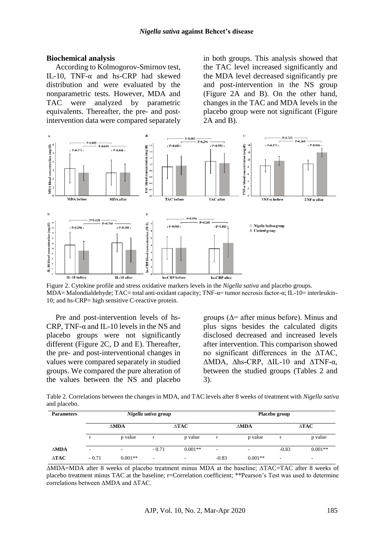#### **Biochemical analysis**

According to Kolmogorov-Smirnov test, IL-10, TNF-α and hs-CRP had skewed distribution and were evaluated by the nonparametric tests. However, MDA and TAC were analyzed by parametric equivalents. Thereafter, the pre- and postintervention data were compared separately in both groups. This analysis showed that the TAC level increased significantly and the MDA level decreased significantly pre and post-intervention in the NS group (Figure 2A and B). On the other hand, changes in the TAC and MDA levels in the placebo group were not significant (Figure 2A and B).



Figure 2. Cytokine profile and stress oxidative markers levels in the *Nigella sativa* and placebo groups. MDA= Malondialdehyde; TAC= total anti-oxidant capacity; TNF-α= tumor necrosis factor-α; IL-10= interleukin-10; and hs-CRP= high sensitive C-reactive protein.

Pre and post-intervention levels of hs-CRP, TNF- $\alpha$  and IL-10 levels in the NS and placebo groups were not significantly different (Figure 2C, D and E). Thereafter, the pre- and post-interventional changes in values were compared separately in studied groups. We compared the pure alteration of the values between the NS and placebo

groups ( $\Delta$ = after minus before). Minus and plus signs besides the calculated digits disclosed decreased and increased levels after intervention. This comparison showed no significant differences in the ∆TAC, ∆MDA, ∆hs-CRP, ∆IL-10 and ∆TNF-α, between the studied groups (Tables 2 and 3).

Table 2. Correlations between the changes in MDA, and TAC levels after 8 weeks of treatment with *Nigella sativa* and placebo.

| <b>Parameters</b> |             |           | Nigella sativa group                   |           | Placebo group            |           |         |           |  |
|-------------------|-------------|-----------|----------------------------------------|-----------|--------------------------|-----------|---------|-----------|--|
|                   | <b>AMDA</b> |           | $\Delta\mathbf{T}\mathbf{A}\mathbf{C}$ |           | <b>AMDA</b>              |           | ∆ТАС    |           |  |
|                   |             | p value   | r                                      | p value   |                          | p value   | r       | p value   |  |
| <b>AMDA</b>       | ٠           |           | $-0.71$                                | $0.001**$ | $\overline{\phantom{a}}$ |           | $-0.83$ | $0.001**$ |  |
| $\triangle TAC$   | $-0.71$     | $0.001**$ | $\overline{\phantom{a}}$               | ۰         | $-0.83$                  | $0.001**$ | -       | ۰         |  |

∆MDA=MDA after 8 weeks of placebo treatment minus MDA at the baseline; ∆TAC=TAC after 8 weeks of placebo treatment minus TAC at the baseline; r=Correlation coefficient; \*\*Pearson's Test was used to determine correlations between ∆MDA and ∆TAC.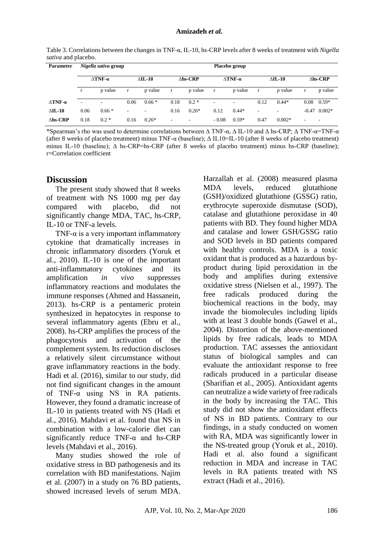Table 3. Correlations between the changes in TNF-α, IL-10, hs-CRP levels after 8 weeks of treatment with *Nigella sativa* and placebo.

| <b>Parameter</b>          |                           | Nigella sativa group     |                |                          | Placebo group      |                          |                           |         |                |          |                          |                |
|---------------------------|---------------------------|--------------------------|----------------|--------------------------|--------------------|--------------------------|---------------------------|---------|----------------|----------|--------------------------|----------------|
|                           | $\triangle$ TNF- $\alpha$ |                          | $\Delta$ IL-10 |                          | $\triangle$ hs-CRP |                          | $\triangle$ TNF- $\alpha$ |         | $\Delta$ IL-10 |          | $\Delta$ hs-CRP          |                |
|                           |                           | p value                  | r              | p value                  | r                  | p value                  | $\mathbf{r}$              | p value | r              | p value  | r                        | p value        |
| $\triangle$ TNF- $\alpha$ | $\overline{\phantom{a}}$  | $\overline{\phantom{a}}$ | 0.06           | $0.66*$                  | 0.18               | $0.2 *$                  |                           | ۰       | 0.12           | $0.44*$  | 0.08                     | $0.59*$        |
| $\Delta$ IL-10            | 0.06                      | $0.66*$                  | ۰              | $\overline{\phantom{a}}$ | 0.16               | $0.26*$                  | 0.12                      | $0.44*$ | ٠.             | ۰        |                          | $-0.47$ 0.002* |
| $\triangle$ hs-CRP        | 0.18                      | $0.2*$                   | 0.16           | $0.26*$                  | ۰                  | $\overline{\phantom{a}}$ | $-0.08$                   | $0.59*$ | 0.47           | $0.002*$ | $\overline{\phantom{a}}$ |                |

\*Spearman's rho was used to determine correlations between ∆ TNF-α, ∆ IL-10 and ∆ hs-CRP; Δ TNF-α=TNF-α (after 8 weeks of placebo treatment) minus TNF-α (baseline); Δ IL10=IL-10 (after 8 weeks of placebo treatment) minus IL-10 (baseline);  $\Delta$  hs-CRP=hs-CRP (after 8 weeks of placebo treatment) minus hs-CRP (baseline); r=Correlation coefficient

### **Discussion**

The present study showed that 8 weeks of treatment with NS 1000 mg per day compared with placebo, did not significantly change MDA, TAC, hs-CRP, IL-10 or TNF-a levels.

TNF- $\alpha$  is a very important inflammatory cytokine that dramatically increases in chronic inflammatory disorders (Yoruk et al., 2010). IL-10 is one of the important anti-inflammatory cytokines and its amplification *in vivo* suppresses inflammatory reactions and modulates the immune responses (Ahmed and Hassanein, 2013). hs-CRP is a pentameric protein synthesized in hepatocytes in response to several inflammatory agents (Ebru et al., 2008). hs-CRP amplifies the process of the phagocytosis and activation of the complement system. Its reduction discloses a relatively silent circumstance without grave inflammatory reactions in the body. Hadi et al. (2016), similar to our study, did not find significant changes in the amount of TNF-α using NS in RA patients. However, they found a dramatic increase of IL-10 in patients treated with NS (Hadi et al., 2016). Mahdavi et al. found that NS in combination with a low-calorie diet can significantly reduce  $TNF-\alpha$  and hs-CRP levels (Mahdavi et al., 2016).

Many studies showed the role of oxidative stress in BD pathogenesis and its correlation with BD manifestations. Najim et al. (2007) in a study on 76 BD patients, showed increased levels of serum MDA.

Harzallah et al. (2008) measured plasma MDA levels, reduced glutathione (GSH)/oxidized glutathione (GSSG) ratio, erythrocyte superoxide dismutase (SOD), catalase and glutathione peroxidase in 40 patients with BD. They found higher MDA and catalase and lower GSH/GSSG ratio and SOD levels in BD patients compared with healthy controls. MDA is a toxic oxidant that is produced as a hazardous byproduct during lipid peroxidation in the body and amplifies during extensive oxidative stress (Nielsen et al., 1997). The free radicals produced during the biochemical reactions in the body, may invade the biomolecules including lipids with at least 3 double bonds (Gawel et al., 2004). Distortion of the above-mentioned lipids by free radicals, leads to MDA production. TAC assesses the antioxidant status of biological samples and can evaluate the antioxidant response to free radicals produced in a particular disease (Sharifian et al., 2005). Antioxidant agents can neutralize a wide variety of free radicals in the body by increasing the TAC. This study did not show the antioxidant effects of NS in BD patients. Contrary to our findings, in a study conducted on women with RA, MDA was significantly lower in the NS-treated group (Yoruk et al., 2010). Hadi et al. also found a significant reduction in MDA and increase in TAC levels in RA patients treated with NS extract (Hadi et al., 2016).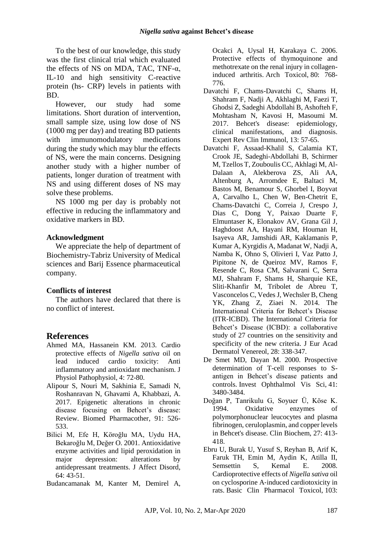To the best of our knowledge, this study was the first clinical trial which evaluated the effects of NS on MDA, TAC, TNF- $\alpha$ . IL-10 and high sensitivity C-reactive protein (hs- CRP) levels in patients with BD.

However, our study had some limitations. Short duration of intervention, small sample size, using low dose of NS (1000 mg per day) and treating BD patients with immunomodulatory medications during the study which may blur the effects of NS, were the main concerns. Designing another study with a higher number of patients, longer duration of treatment with NS and using different doses of NS may solve these problems.

NS 1000 mg per day is probably not effective in reducing the inflammatory and oxidative markers in BD.

### **Acknowledgment**

We appreciate the help of department of Biochemistry-Tabriz University of Medical sciences and Barij Essence pharmaceutical company.

## **Conflicts of interest**

The authors have declared that there is no conflict of interest.

# **References**

- Ahmed MA, Hassanein KM. 2013. Cardio protective effects of *Nigella sativa* oil on lead induced cardio toxicity: Anti inflammatory and antioxidant mechanism. J Physiol Pathophysiol, 4: 72-80.
- Alipour S, Nouri M, Sakhinia E, Samadi N, Roshanravan N, Ghavami A, Khabbazi, A. 2017. Epigenetic alterations in chronic disease focusing on Behcet's disease: Review. Biomed Pharmacother, 91: 526- 533.
- Bilici M, Efe H, Köroğlu MA, Uydu HA, Bekaroğlu M, Değer O. 2001. Antioxidative enzyme activities and lipid peroxidation in major depression: alterations by antidepressant treatments. J Affect Disord, 64: 43-51.
- Budancamanak M, Kanter M, Demirel A,

Ocakci A, Uysal H, Karakaya C. 2006. Protective effects of thymoquinone and methotrexate on the renal injury in collageninduced arthritis. Arch Toxicol, 80: 768- 776.

- Davatchi F, Chams-Davatchi C, Shams H, Shahram F, Nadji A, Akhlaghi M, Faezi T, Ghodsi Z, Sadeghi Abdollahi B, Ashofteh F, Mohtasham N, Kavosi H, Masoumi M. 2017. Behcet's disease: epidemiology, clinical manifestations, and diagnosis. Expert Rev Clin Immunol, 13: 57-65.
- Davatchi F, Assaad-Khalil S, Calamia KT, Crook JE, Sadeghi-Abdollahi B, Schirmer M, Tzellos T, Zouboulis CC, Akhlagi M, Al-Dalaan A, Alekberova ZS, Ali AA, Altenburg A, Arromdee E, Baltaci M, Bastos M, Benamour S, Ghorbel I, Boyvat A, Carvalho L, Chen W, Ben-Chetrit E, Chams-Davatchi C, Correia J, Crespo J, Dias C, Dong Y, Paixao Duarte F, Elmuntaser K, Elonakov AV, Grana Gil J, Haghdoost AA, Hayani RM, Houman H, Isayeva AR, Jamshidi AR, Kaklamanis P, Kumar A, Kyrgidis A, Madanat W, Nadji A, Namba K, Ohno S, Olivieri I, Vaz Patto J, Pipitone N, de Queiroz MV, Ramos F, Resende C, Rosa CM, Salvarani C, Serra MJ, Shahram F, Shams H, Sharquie KE, Sliti-Khanfir M, Tribolet de Abreu T, Vasconcelos C, Vedes J, Wechsler B, Cheng YK, Zhang Z, Ziaei N. 2014. The International Criteria for Behcet's Disease (ITR-ICBD). The International Criteria for Behcet's Disease (ICBD): a collaborative study of 27 countries on the sensitivity and specificity of the new criteria. J Eur Acad Dermatol Venereol, 28: 338-347.
- De Smet MD, Dayan M. 2000. Prospective determination of T-cell responses to Santigen in Behcet's disease patients and controls. Invest Ophthalmol Vis Sci, 41: 3480-3484.
- Doğan P, Tanrikulu G, Soyuer Ü, Köse K. 1994. Oxidative enzymes of polymorphonuclear leucocytes and plasma fibrinogen, ceruloplasmin, and copper levels in Behcet's disease. Clin Biochem, 27: 413- 418.
- Ebru U, Burak U, Yusuf S, Reyhan B, Arif K, Faruk TH, Emin M, Aydin K, Atilla II, Semsettin S, Kemal E. 2008. Cardioprotective effects of *Nigella sativa* oil on cyclosporine A‐induced cardiotoxicity in rats. Basic Clin Pharmacol Toxicol, 103: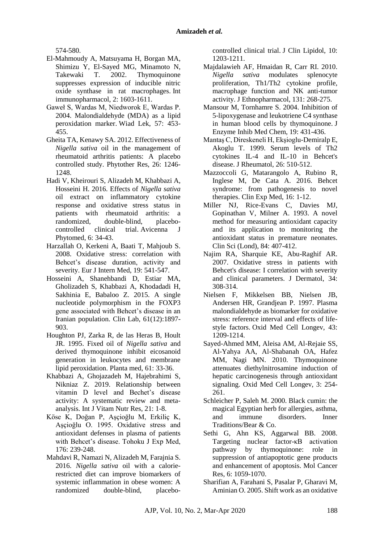574-580.

- El-Mahmoudy A, Matsuyama H, Borgan MA, Shimizu Y, El-Sayed MG, Minamoto N,<br>Takewaki T. 2002. Thymoquinone T. 2002. Thymoquinone suppresses expression of inducible nitric oxide synthase in rat macrophages. Int immunopharmacol, 2: 1603-1611.
- Gaweł S, Wardas M, Niedworok E, Wardas P. 2004. Malondialdehyde (MDA) as a lipid peroxidation marker. Wiad Lek, 57: 453- 455.
- Gheita TA, Kenawy SA. 2012. Effectiveness of *Nigella sativa* oil in the management of rheumatoid arthritis patients: A placebo controlled study. Phytother Res, 26: 1246- 1248
- Hadi V, Kheirouri S, Alizadeh M, Khabbazi A, Hosseini H. 2016. Effects of *Nigella sativa* oil extract on inflammatory cytokine response and oxidative stress status in patients with rheumatoid arthritis: a randomized, double-blind, placebocontrolled clinical trial. Avicenna J Phytomed, 6: 34-43.
- Harzallah O, Kerkeni A, Baati T, Mahjoub S. 2008. Oxidative stress: correlation with Behcet's disease duration, activity and severity. Eur J Intern Med, 19: 541-547.
- Hosseini A, Shanehbandi D, Estiar MA, Gholizadeh S, Khabbazi A, Khodadadi H, Sakhinia E, Babaloo Z. 2015. A single nucleotide polymorphism in the FOXP3 gene associated with Behcet's disease in an Iranian population. Clin Lab, 61(12):1897- 903.
- Houghton PJ, Zarka R, de las Heras B, Hoult JR. 1995. Fixed oil of *Nigella sativa* and derived thymoquinone inhibit eicosanoid generation in leukocytes and membrane lipid peroxidation. Planta med, 61: 33-36.
- Khabbazi A, Ghojazadeh M, Hajebrahimi S, Nikniaz Z. 2019. Relationship between vitamin D level and Bechet's disease activity: A systematic review and metaanalysis. Int J Vitam Nutr Res, 21: 1-8.
- Köse K, Doğan P, Aşçioğlu M, Erkiliç K, Aşçioğlu O. 1995. Oxidative stress and antioxidant defenses in plasma of patients with Behcet's disease. Tohoku J Exp Med, 176: 239-248.
- Mahdavi R, Namazi N, Alizadeh M, Farajnia S. 2016. *Nigella sativa* oil with a calorierestricted diet can improve biomarkers of systemic inflammation in obese women: A randomized double-blind, placebo-

controlled clinical trial. J Clin Lipidol, 10: 1203-1211.

- Majdalawieh AF, Hmaidan R, Carr RI. 2010. *Nigella sativa* modulates splenocyte proliferation, Th1/Th2 cytokine profile, macrophage function and NK anti-tumor activity. J Ethnopharmacol, 131: 268-275.
- Mansour M, Tornhamre S. 2004. Inhibition of 5-lipoxygenase and leukotriene C4 synthase in human blood cells by thymoquinone. J Enzyme Inhib Med Chem, 19: 431-436.
- Mantaş C, Direskeneli H, Ekşioglu-Demiralp E, Akoglu T. 1999. Serum levels of Th2 cytokines IL-4 and IL-10 in Behcet's disease. J Rheumatol, 26: 510-512.
- Mazzoccoli G, Matarangolo A, Rubino R, Inglese M, De Cata A. 2016. Behcet syndrome: from pathogenesis to novel therapies. Clin Exp Med, 16: 1-12.
- Miller NJ, Rice-Evans C, Davies MJ, Gopinathan V, Milner A. 1993. A novel method for measuring antioxidant capacity and its application to monitoring the antioxidant status in premature neonates. Clin Sci (Lond), 84: 407-412.
- Najim RA, Sharquie KE, Abu-Raghif AR. 2007. Oxidative stress in patients with Behcet's disease: I correlation with severity and clinical parameters. J Dermatol, 34: 308-314.
- Nielsen F, Mikkelsen BB, Nielsen JB, Andersen HR, Grandjean P. 1997. Plasma malondialdehyde as biomarker for oxidative stress: reference interval and effects of lifestyle factors. Oxid Med Cell Longev, 43: 1209-1214.
- Sayed-Ahmed MM, Aleisa AM, Al-Rejaie SS, Al-Yahya AA, Al-Shabanah OA, Hafez MM, Nagi MN. 2010. Thymoquinone attenuates diethylnitrosamine induction of hepatic carcinogenesis through antioxidant signaling. Oxid Med Cell Longev, 3: 254- 261.
- Schleicher P, Saleh M. 2000. Black cumin: the magical Egyptian herb for allergies, asthma, and immune disorders. Inner Traditions/Bear & Co.
- Sethi G, Ahn KS, Aggarwal BB. 2008. Targeting nuclear factor-κB activation pathway by thymoquinone: role in suppression of antiapoptotic gene products and enhancement of apoptosis. Mol Cancer Res, 6: 1059-1070.
- Sharifian A, Farahani S, Pasalar P, Gharavi M, Aminian O. 2005. Shift work as an oxidative